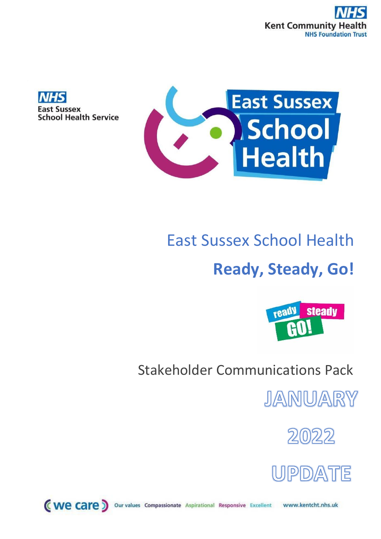



## East Sussex School Health

# **Ready, Steady, Go!**



### Stakeholder Communications Pack

JANUARY





(we care) Our values Compassionate Aspirational Responsive Excellent www.kentcht.nhs.uk

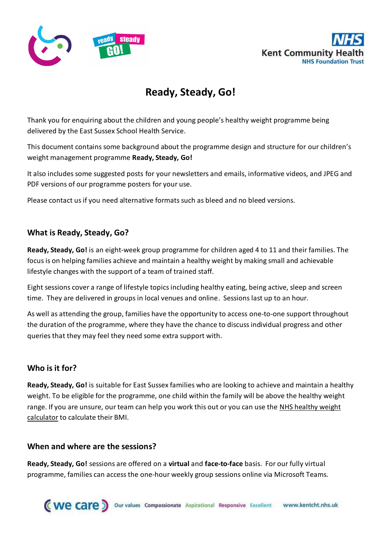



### **Ready, Steady, Go!**

Thank you for enquiring about the children and young people's healthy weight programme being delivered by the East Sussex School Health Service.

This document contains some background about the programme design and structure for our children's weight management programme **Ready, Steady, Go!**

It also includes some suggested posts for your newsletters and emails, informative videos, and JPEG and PDF versions of our programme posters for your use.

Please contact us if you need alternative formats such as bleed and no bleed versions.

#### **What is Ready, Steady, Go?**

**Ready, Steady, Go!** is an eight-week group programme for children aged 4 to 11 and their families. The focus is on helping families achieve and maintain a healthy weight by making small and achievable lifestyle changes with the support of a team of trained staff.

Eight sessions cover a range of lifestyle topics including healthy eating, being active, sleep and screen time. They are delivered in groups in local venues and online. Sessions last up to an hour.

As well as attending the group, families have the opportunity to access one-to-one support throughout the duration of the programme, where they have the chance to discuss individual progress and other queries that they may feel they need some extra support with.

#### **Who is it for?**

**Ready, Steady, Go!** is suitable for East Sussex families who are looking to achieve and maintain a healthy weight. To be eligible for the programme, one child within the family will be above the healthy weight range. If you are unsure, our team can help you work this out or you can use the NHS [healthy](https://www.nhs.uk/live-well/healthy-weight/bmi-calculator/) weight [calculator](https://www.nhs.uk/live-well/healthy-weight/bmi-calculator/) to calculate their BMI.

#### **When and where are the sessions?**

**Ready, Steady, Go!** sessions are offered on a **virtual** and **face-to-face** basis. For our fully virtual programme, families can access the one-hour weekly group sessions online via Microsoft Teams.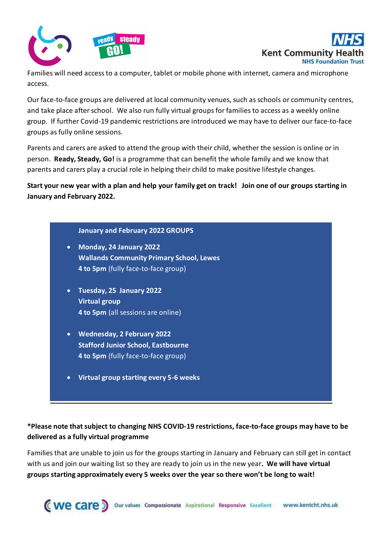



Families will need access to a computer, tablet or mobile phone with internet, camera and microphone access.

Our face-to-face groups are delivered at local community venues, such as schools or community centres, and take place after school. We also run fully virtual groups for families to access as a weekly online group. If further Covid-19 pandemic restrictions are introduced we may have to deliver our face-to-face groups as fully online sessions.

Parents and carers are asked to attend the group with their child, whether the session is online or in person. **Ready, Steady, Go!** is a programme that can benefit the whole family and we know that parents and carers play a crucial role in helping their child to make positive lifestyle changes.

**Start your new year with a plan and help your family get on track! Join one of our groups starting in January and February 2022.**

#### **January and February 2022 GROUPS**

- **Monday, 24 January 2022 Wallands Community Primary School, Lewes 4 to 5pm** (fully face-to-face group)
- **Tuesday, 25 January 2022 Virtual group 4 to 5pm** (all sessions are online)
- **Wednesday, 2 February 2022 Stafford Junior School, Eastbourne 4 to 5pm** (fully face-to-face group)
- **Virtual group starting every 5-6 weeks**

#### **\*Please note that subject to changing NHS COVID-19 restrictions, face-to-face groups may have to be delivered as a fully virtual programme**

Families that are unable to join us for the groups starting in January and February can still get in contact with us and join our waiting list so they are ready to join us in the new year**. We will have virtual groups starting approximately every 5 weeks over the year so there won't be long to wait!**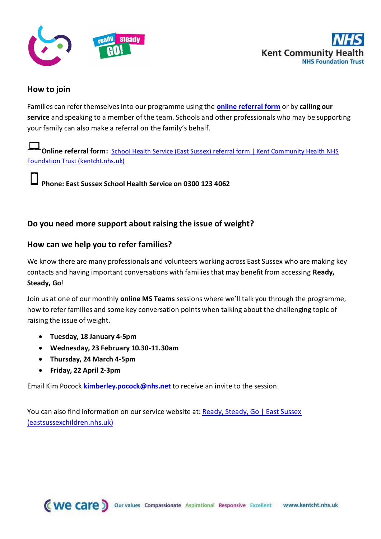



#### **How to join**

Families can refer themselves into our programme using the **[online referral form](https://www.kentcht.nhs.uk/forms/school-health-service-east-sussex-referral-form/)** or by **calling our service** and speaking to a member of the team. Schools and other professionals who may be supporting your family can also make a referral on the family's behalf.

**[Online referral form:](https://www.kentcht.nhs.uk/forms/school-health-service-east-sussex-referral-form/)** [School Health Service \(East Sussex\) referral form | Kent Community Health NHS](https://www.kentcht.nhs.uk/forms/school-health-service-east-sussex-referral-form/)  [Foundation Trust \(kentcht.nhs.uk\)](https://www.kentcht.nhs.uk/forms/school-health-service-east-sussex-referral-form/)

**Phone: East Sussex School Health Service on 0300 123 4062**

#### **Do you need more support about raising the issue of weight?**

#### **How can we help you to refer families?**

We know there are many professionals and volunteers working across East Sussex who are making key contacts and having important conversations with families that may benefit from accessing **Ready, Steady, Go**!

Join us at one of our monthly **online MS Teams** sessions where we'll talk you through the programme, how to refer families and some key conversation points when talking about the challenging topic of raising the issue of weight.

- **Tuesday, 18 January 4-5pm**
- **Wednesday, 23 February 10.30-11.30am**
- **Thursday, 24 March 4-5pm**
- **Friday, 22 April 2-3pm**

Email Kim Pocock **[kimberley.pocock@nhs.net](mailto:kimberley.pocock@nhs.net)** to receive an invite to the session.

You can also find information on our service website at: Ready, Steady, Go | East Sussex [\(eastsussexchildren.nhs.uk\)](https://www.eastsussexchildren.nhs.uk/ready-steady-go/)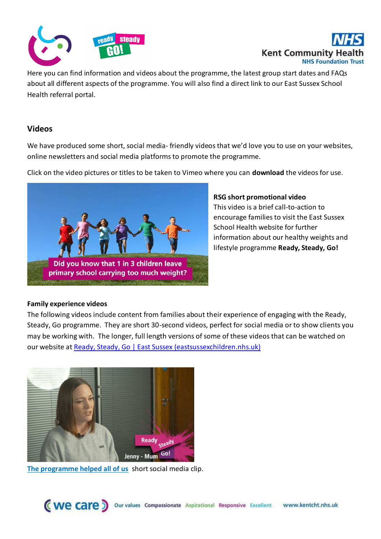



Here you can find information and videos about the programme, the latest group start dates and FAQs about all different aspects of the programme. You will also find a direct link to our East Sussex School Health referral portal.

#### **Videos**

We have produced some short, social media- friendly videos that we'd love you to use on your websites, online newsletters and social media platforms to promote the programme.

Click on the video pictures or titles to be taken to Vimeo where you can **download** the videos for use.



#### **RSG short promotional video**

This video is a brief call-to-action to encourage families to visit the East Sussex School Health website for further information about our healthy weights and lifestyle programme **Ready, Steady, Go!**

#### **Family experience videos**

The following videos include content from families about their experience of engaging with the Ready, Steady, Go programme. They are short 30-second videos, perfect for social media or to show clients you may be working with. The longer, full length versions of some of these videos that can be watched on our website a[t Ready, Steady, Go | East Sussex \(eastsussexchildren.nhs.uk\)](https://www.eastsussexchildren.nhs.uk/ready-steady-go/)



**[The programme helped all of us](https://vimeo.com/591570306/9bfc5ee518)** short social media clip.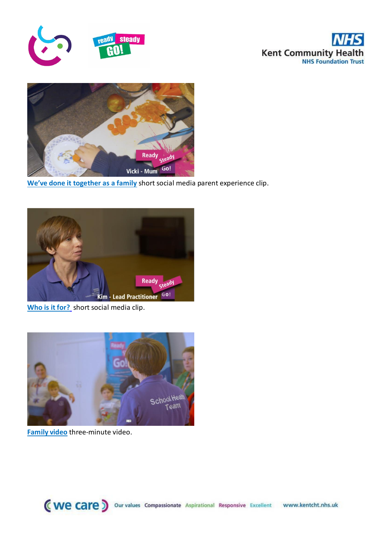





**[We've done it together as a family](https://vimeo.com/591570439/6667a7d5bf)** short social media parent experience clip.



**[Who is it for?](https://vimeo.com/591573151/f121f483bd)** short social media clip.



**[Family video](https://vimeo.com/591569061/aad8f8f251)** three-minute video.

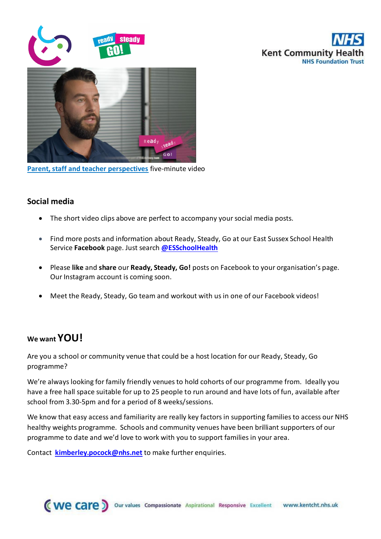

**[Parent, staff and teacher perspectives](https://vimeo.com/591570705/a2eab31047)** five-minute video

#### **Social media**

- The short video clips above are perfect to accompany your social media posts.
- Find more posts and information about Ready, Steady, Go at our East Sussex School Health Service **Facebook** page. Just search **[@ESSchoolHealth](https://www.facebook.com/ESSchoolHealth/)**

**Kent Community H** 

**NHS Foundation Tr** 

- Please **like** and **share** our **Ready, Steady, Go!** posts on Facebook to your organisation's page. Our Instagram account is coming soon.
- Meet the Ready, Steady, Go team and workout with us in one of our Facebook videos!

#### **We want YOU!**

Are you a school or community venue that could be a host location for our Ready, Steady, Go programme?

We're always looking for family friendly venues to hold cohorts of our programme from. Ideally you have a free hall space suitable for up to 25 people to run around and have lots of fun, available after school from 3.30-5pm and for a period of 8 weeks/sessions.

We know that easy access and familiarity are really key factors in supporting families to access our NHS healthy weights programme. Schools and community venues have been brilliant supporters of our programme to date and we'd love to work with you to support families in your area.

Contact **[kimberley.pocock@nhs.net](mailto:kimberley.pocock@nhs.net)** to make further enquiries.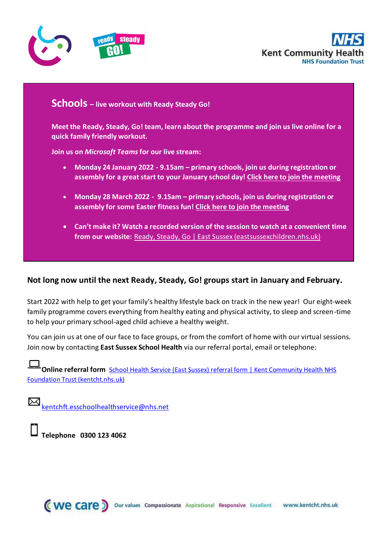



#### **Schools – live workout with Ready Steady Go!**

**Meet the Ready, Steady, Go! team, learn about the programme and join us live online for a quick family friendly workout.** 

**Join us on** *Microsoft Teams* **for our live stream:**

- **Monday 24 January 2022 - 9.15am – primary schools, join us during registration or assembly for a great start to your January school day! [Click here to join the meeting](https://teams.microsoft.com/l/meetup-join/19%3ameeting_MTliOTE2MTEtMDFiNS00ZmQ3LWFmZDQtMWZhMmY1MDRhZDY2%40thread.v2/0?context=%7b%22Tid%22%3a%2237c354b2-85b0-47f5-b222-07b48d774ee3%22%2c%22Oid%22%3a%2277d14d65-73f2-41fe-872e-da8c6d312167%22%7d)**
- **Monday 28 March 2022 9.15am – primary schools, join us during registration or assembly for some Easter fitness fun! [Click here to join the meeting](https://teams.microsoft.com/l/meetup-join/19%3ameeting_ZDAxNTZhZGEtYjYwMy00NjIwLTlkMzEtYjVkYTdmOTRjODMw%40thread.v2/0?context=%7b%22Tid%22%3a%2237c354b2-85b0-47f5-b222-07b48d774ee3%22%2c%22Oid%22%3a%2277d14d65-73f2-41fe-872e-da8c6d312167%22%7d)**
- **Can't make it? Watch a recorded version of the session to watch at a convenient time from our website:** [Ready, Steady, Go | East Sussex \(eastsussexchildren.nhs.uk\)](https://www.eastsussexchildren.nhs.uk/ready-steady-go/)

#### **Not long now until the next Ready, Steady, Go! groups start in January and February.**

Start 2022 with help to get your family's healthy lifestyle back on track in the new year! Our eight-week family programme covers everything from healthy eating and physical activity, to sleep and screen-time to help your primary school-aged child achieve a healthy weight.

You can join us at one of our face to face groups, or from the comfort of home with our virtual sessions. Join now by contacting **East Sussex School Health** via our referral portal, email or telephone:

**[Online referral form](https://www.kentcht.nhs.uk/forms/school-health-service-east-sussex-referral-form/)** [School Health Service \(East Sussex\) referral form | Kent Community Health NHS](https://www.kentcht.nhs.uk/forms/school-health-service-east-sussex-referral-form/)  [Foundation Trust \(kentcht.nhs.uk\)](https://www.kentcht.nhs.uk/forms/school-health-service-east-sussex-referral-form/)

[kentchft.esschoolhealthservice@nhs.net](mailto:kentchft.esschoolhealthservice@nhs.net)

**Telephone 0300 123 4062**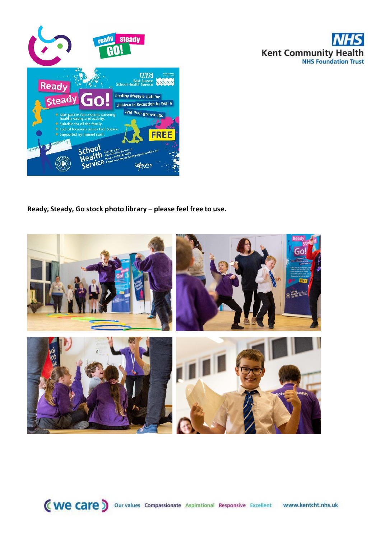

**Ready, Steady, Go stock photo library – please feel free to use.** 



**Kent Community Health**<br>NHS Foundation Trust